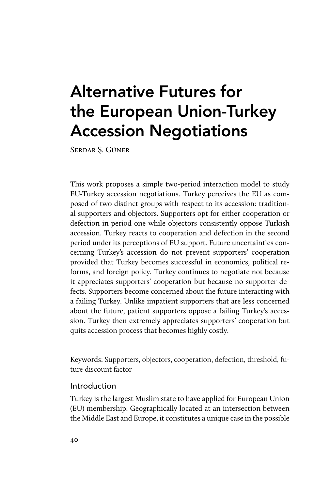# Alternative Futures for the European Union-Turkey Accession Negotiations

Serdar Ş. Güner

This work proposes a simple two-period interaction model to study EU-Turkey accession negotiations. Turkey perceives the EU as composed of two distinct groups with respect to its accession: traditional supporters and objectors. Supporters opt for either cooperation or defection in period one while objectors consistently oppose Turkish accession. Turkey reacts to cooperation and defection in the second period under its perceptions of EU support. Future uncertainties concerning Turkey's accession do not prevent supporters' cooperation provided that Turkey becomes successful in economics, political reforms, and foreign policy. Turkey continues to negotiate not because it appreciates supporters' cooperation but because no supporter defects. Supporters become concerned about the future interacting with a failing Turkey. Unlike impatient supporters that are less concerned about the future, patient supporters oppose a failing Turkey's accession. Turkey then extremely appreciates supporters' cooperation but quits accession process that becomes highly costly.

Keywords: Supporters, objectors, cooperation, defection, threshold, future discount factor

## Introduction

Turkey is the largest Muslim state to have applied for European Union (EU) membership. Geographically located at an intersection between the Middle East and Europe, it constitutes a unique case in the possible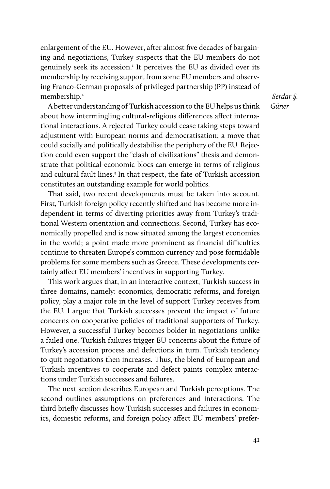enlargement of the EU. However, after almost five decades of bargaining and negotiations, Turkey suspects that the EU members do not genuinely seek its accession.<sup>1</sup> It perceives the EU as divided over its membership by receiving support from some EU members and observing Franco-German proposals of privileged partnership (PP) instead of membership.2

A better understanding of Turkish accession to the EU helps us think about how intermingling cultural-religious differences affect international interactions. A rejected Turkey could cease taking steps toward adjustment with European norms and democratisation; a move that could socially and politically destabilise the periphery of the EU. Rejection could even support the "clash of civilizations" thesis and demonstrate that political-economic blocs can emerge in terms of religious and cultural fault lines.<sup>3</sup> In that respect, the fate of Turkish accession constitutes an outstanding example for world politics.

That said, two recent developments must be taken into account. First, Turkish foreign policy recently shifted and has become more independent in terms of diverting priorities away from Turkey's traditional Western orientation and connections. Second, Turkey has economically propelled and is now situated among the largest economies in the world; a point made more prominent as financial difficulties continue to threaten Europe's common currency and pose formidable problems for some members such as Greece. These developments certainly affect EU members' incentives in supporting Turkey.

This work argues that, in an interactive context, Turkish success in three domains, namely: economics, democratic reforms, and foreign policy, play a major role in the level of support Turkey receives from the EU. I argue that Turkish successes prevent the impact of future concerns on cooperative policies of traditional supporters of Turkey. However, a successful Turkey becomes bolder in negotiations unlike a failed one. Turkish failures trigger EU concerns about the future of Turkey's accession process and defections in turn. Turkish tendency to quit negotiations then increases. Thus, the blend of European and Turkish incentives to cooperate and defect paints complex interactions under Turkish successes and failures.

The next section describes European and Turkish perceptions. The second outlines assumptions on preferences and interactions. The third briefly discusses how Turkish successes and failures in economics, domestic reforms, and foreign policy affect EU members' prefer-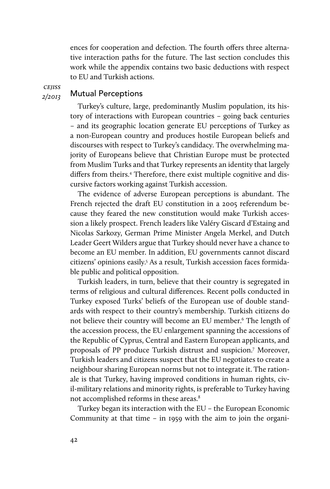ences for cooperation and defection. The fourth offers three alternative interaction paths for the future. The last section concludes this work while the appendix contains two basic deductions with respect to EU and Turkish actions.

*cejiss 2/2013*

## Mutual Perceptions

Turkey's culture, large, predominantly Muslim population, its history of interactions with European countries – going back centuries – and its geographic location generate EU perceptions of Turkey as a non-European country and produces hostile European beliefs and discourses with respect to Turkey's candidacy. The overwhelming majority of Europeans believe that Christian Europe must be protected from Muslim Turks and that Turkey represents an identity that largely differs from theirs.<sup>4</sup> Therefore, there exist multiple cognitive and discursive factors working against Turkish accession.

The evidence of adverse European perceptions is abundant. The French rejected the draft EU constitution in a 2005 referendum because they feared the new constitution would make Turkish accession a likely prospect. French leaders like Valéry Giscard d'Estaing and Nicolas Sarkozy, German Prime Minister Angela Merkel, and Dutch Leader Geert Wilders argue that Turkey should never have a chance to become an EU member. In addition, EU governments cannot discard citizens' opinions easily.5 As a result, Turkish accession faces formidable public and political opposition.

Turkish leaders, in turn, believe that their country is segregated in terms of religious and cultural differences. Recent polls conducted in Turkey exposed Turks' beliefs of the European use of double standards with respect to their country's membership. Turkish citizens do not believe their country will become an EU member.6 The length of the accession process, the EU enlargement spanning the accessions of the Republic of Cyprus, Central and Eastern European applicants, and proposals of PP produce Turkish distrust and suspicion.7 Moreover, Turkish leaders and citizens suspect that the EU negotiates to create a neighbour sharing European norms but not to integrate it. The rationale is that Turkey, having improved conditions in human rights, civil-military relations and minority rights, is preferable to Turkey having not accomplished reforms in these areas.<sup>8</sup>

Turkey began its interaction with the EU – the European Economic Community at that time – in 1959 with the aim to join the organi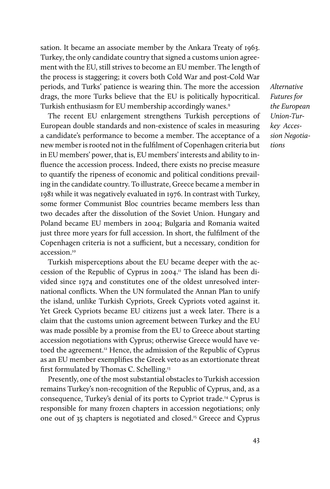sation. It became an associate member by the Ankara Treaty of 1963. Turkey, the only candidate country that signed a customs union agreement with the EU, still strives to become an EU member. The length of the process is staggering; it covers both Cold War and post-Cold War periods, and Turks' patience is wearing thin. The more the accession drags, the more Turks believe that the EU is politically hypocritical. Turkish enthusiasm for EU membership accordingly wanes.9

The recent EU enlargement strengthens Turkish perceptions of European double standards and non-existence of scales in measuring a candidate's performance to become a member. The acceptance of a new member is rooted not in the fulfilment of Copenhagen criteria but in EU members' power, that is, EU members' interests and ability to influence the accession process. Indeed, there exists no precise measure to quantify the ripeness of economic and political conditions prevailing in the candidate country. To illustrate, Greece became a member in 1981 while it was negatively evaluated in 1976. In contrast with Turkey, some former Communist Bloc countries became members less than two decades after the dissolution of the Soviet Union. Hungary and Poland became EU members in 2004; Bulgaria and Romania waited just three more years for full accession. In short, the fulfilment of the Copenhagen criteria is not a sufficient, but a necessary, condition for accession.10

Turkish misperceptions about the EU became deeper with the accession of the Republic of Cyprus in 2004.11 The island has been divided since 1974 and constitutes one of the oldest unresolved international conflicts. When the UN formulated the Annan Plan to unify the island, unlike Turkish Cypriots, Greek Cypriots voted against it. Yet Greek Cypriots became EU citizens just a week later. There is a claim that the customs union agreement between Turkey and the EU was made possible by a promise from the EU to Greece about starting accession negotiations with Cyprus; otherwise Greece would have vetoed the agreement.<sup>12</sup> Hence, the admission of the Republic of Cyprus as an EU member exemplifies the Greek veto as an extortionate threat first formulated by Thomas C. Schelling.13

Presently, one of the most substantial obstacles to Turkish accession remains Turkey's non-recognition of the Republic of Cyprus, and, as a consequence, Turkey's denial of its ports to Cypriot trade.14 Cyprus is responsible for many frozen chapters in accession negotiations; only one out of 35 chapters is negotiated and closed.15 Greece and Cyprus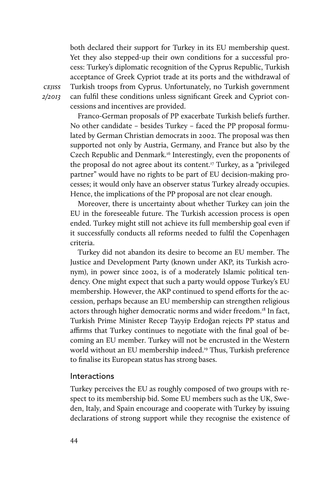both declared their support for Turkey in its EU membership quest. Yet they also stepped-up their own conditions for a successful process: Turkey's diplomatic recognition of the Cyprus Republic, Turkish acceptance of Greek Cypriot trade at its ports and the withdrawal of Turkish troops from Cyprus. Unfortunately, no Turkish government can fulfil these conditions unless significant Greek and Cypriot concessions and incentives are provided.

Franco-German proposals of PP exacerbate Turkish beliefs further. No other candidate – besides Turkey – faced the PP proposal formulated by German Christian democrats in 2002. The proposal was then supported not only by Austria, Germany, and France but also by the Czech Republic and Denmark.<sup>16</sup> Interestingly, even the proponents of the proposal do not agree about its content.17 Turkey, as a "privileged partner" would have no rights to be part of EU decision-making processes; it would only have an observer status Turkey already occupies. Hence, the implications of the PP proposal are not clear enough.

Moreover, there is uncertainty about whether Turkey can join the EU in the foreseeable future. The Turkish accession process is open ended. Turkey might still not achieve its full membership goal even if it successfully conducts all reforms needed to fulfil the Copenhagen criteria.

Turkey did not abandon its desire to become an EU member. The Justice and Development Party (known under AKP, its Turkish acronym), in power since 2002, is of a moderately Islamic political tendency. One might expect that such a party would oppose Turkey's EU membership. However, the AKP continued to spend efforts for the accession, perhaps because an EU membership can strengthen religious actors through higher democratic norms and wider freedom.<sup>18</sup> In fact, Turkish Prime Minister Recep Tayyip Erdoğan rejects PP status and affirms that Turkey continues to negotiate with the final goal of becoming an EU member. Turkey will not be encrusted in the Western world without an EU membership indeed.<sup>19</sup> Thus, Turkish preference to finalise its European status has strong bases.

#### Interactions

Turkey perceives the EU as roughly composed of two groups with respect to its membership bid. Some EU members such as the UK, Sweden, Italy, and Spain encourage and cooperate with Turkey by issuing declarations of strong support while they recognise the existence of

*cejiss 2/2013*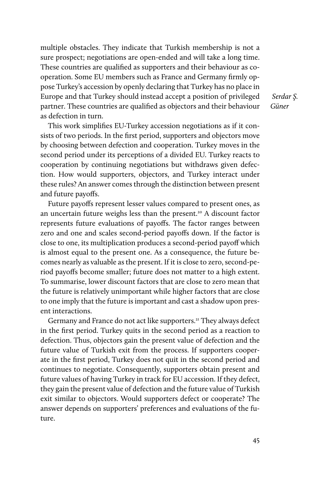multiple obstacles. They indicate that Turkish membership is not a sure prospect; negotiations are open-ended and will take a long time. These countries are qualified as supporters and their behaviour as cooperation. Some EU members such as France and Germany firmly oppose Turkey's accession by openly declaring that Turkey has no place in Europe and that Turkey should instead accept a position of privileged partner. These countries are qualified as objectors and their behaviour as defection in turn.

This work simplifies EU-Turkey accession negotiations as if it consists of two periods. In the first period, supporters and objectors move by choosing between defection and cooperation. Turkey moves in the second period under its perceptions of a divided EU. Turkey reacts to cooperation by continuing negotiations but withdraws given defection. How would supporters, objectors, and Turkey interact under these rules? An answer comes through the distinction between present and future payoffs.

Future payoffs represent lesser values compared to present ones, as an uncertain future weighs less than the present.<sup>20</sup> A discount factor represents future evaluations of payoffs. The factor ranges between zero and one and scales second-period payoffs down. If the factor is close to one, its multiplication produces a second-period payoff which is almost equal to the present one. As a consequence, the future becomes nearly as valuable as the present. If it is close to zero, second-period payoffs become smaller; future does not matter to a high extent. To summarise, lower discount factors that are close to zero mean that the future is relatively unimportant while higher factors that are close to one imply that the future is important and cast a shadow upon present interactions.

Germany and France do not act like supporters.<sup>21</sup> They always defect in the first period. Turkey quits in the second period as a reaction to defection. Thus, objectors gain the present value of defection and the future value of Turkish exit from the process. If supporters cooperate in the first period, Turkey does not quit in the second period and continues to negotiate. Consequently, supporters obtain present and future values of having Turkey in track for EU accession. If they defect, they gain the present value of defection and the future value of Turkish exit similar to objectors. Would supporters defect or cooperate? The answer depends on supporters' preferences and evaluations of the future.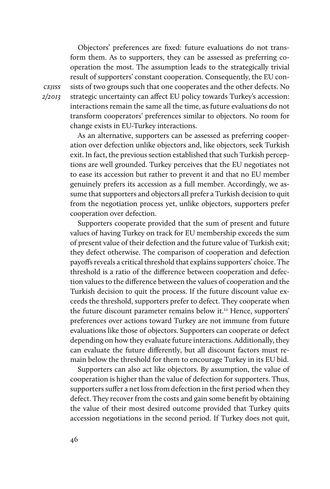Objectors' preferences are fixed: future evaluations do not transform them. As to supporters, they can be assessed as preferring cooperation the most. The assumption leads to the strategically trivial result of supporters' constant cooperation. Consequently, the EU consists of two groups such that one cooperates and the other defects. No strategic uncertainty can affect EU policy towards Turkey's accession: interactions remain the same all the time, as future evaluations do not transform cooperators' preferences similar to objectors. No room for change exists in EU-Turkey interactions.

As an alternative, supporters can be assessed as preferring cooperation over defection unlike objectors and, like objectors, seek Turkish exit. In fact, the previous section established that such Turkish perceptions are well grounded. Turkey perceives that the EU negotiates not to ease its accession but rather to prevent it and that no EU member genuinely prefers its accession as a full member. Accordingly, we assume that supporters and objectors all prefer a Turkish decision to quit from the negotiation process yet, unlike objectors, supporters prefer cooperation over defection.

Supporters cooperate provided that the sum of present and future values of having Turkey on track for EU membership exceeds the sum of present value of their defection and the future value of Turkish exit; they defect otherwise. The comparison of cooperation and defection payoffs reveals a critical threshold that explains supporters' choice. The threshold is a ratio of the difference between cooperation and defection values to the difference between the values of cooperation and the Turkish decision to quit the process. If the future discount value exceeds the threshold, supporters prefer to defect. They cooperate when the future discount parameter remains below it.<sup>22</sup> Hence, supporters' preferences over actions toward Turkey are not immune from future evaluations like those of objectors. Supporters can cooperate or defect depending on how they evaluate future interactions. Additionally, they can evaluate the future differently, but all discount factors must remain below the threshold for them to encourage Turkey in its EU bid.

Supporters can also act like objectors. By assumption, the value of cooperation is higher than the value of defection for supporters. Thus, supporters suffer a net loss from defection in the first period when they defect. They recover from the costs and gain some benefit by obtaining the value of their most desired outcome provided that Turkey quits accession negotiations in the second period. If Turkey does not quit,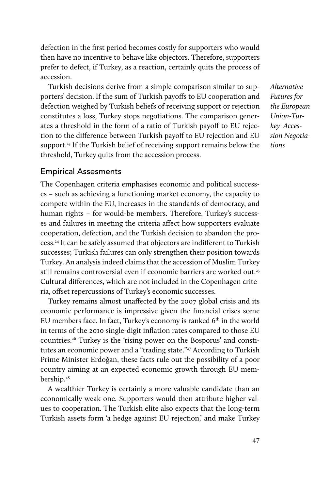defection in the first period becomes costly for supporters who would then have no incentive to behave like objectors. Therefore, supporters prefer to defect, if Turkey, as a reaction, certainly quits the process of accession.

Turkish decisions derive from a simple comparison similar to supporters' decision. If the sum of Turkish payoffs to EU cooperation and defection weighed by Turkish beliefs of receiving support or rejection constitutes a loss, Turkey stops negotiations. The comparison generates a threshold in the form of a ratio of Turkish payoff to EU rejection to the difference between Turkish payoff to EU rejection and EU support.<sup>23</sup> If the Turkish belief of receiving support remains below the threshold, Turkey quits from the accession process.

*Alternative Futures for the European Union-Turkey Accession Negotiations* 

#### Empirical Assesments

The Copenhagen criteria emphasises economic and political successes – such as achieving a functioning market economy, the capacity to compete within the EU, increases in the standards of democracy, and human rights – for would-be members. Therefore, Turkey's successes and failures in meeting the criteria affect how supporters evaluate cooperation, defection, and the Turkish decision to abandon the process.24 It can be safely assumed that objectors are indifferent to Turkish successes; Turkish failures can only strengthen their position towards Turkey. An analysis indeed claims that the accession of Muslim Turkey still remains controversial even if economic barriers are worked out.<sup>25</sup> Cultural differences, which are not included in the Copenhagen criteria, offset repercussions of Turkey's economic successes.

Turkey remains almost unaffected by the 2007 global crisis and its economic performance is impressive given the financial crises some EU members face. In fact, Turkey's economy is ranked 6<sup>th</sup> in the world in terms of the 2010 single-digit inflation rates compared to those EU countries.26 Turkey is the 'rising power on the Bosporus' and constitutes an economic power and a "trading state."<sup>27</sup> According to Turkish Prime Minister Erdoğan, these facts rule out the possibility of a poor country aiming at an expected economic growth through EU membership.<sup>28</sup>

A wealthier Turkey is certainly a more valuable candidate than an economically weak one. Supporters would then attribute higher values to cooperation. The Turkish elite also expects that the long-term Turkish assets form 'a hedge against EU rejection,' and make Turkey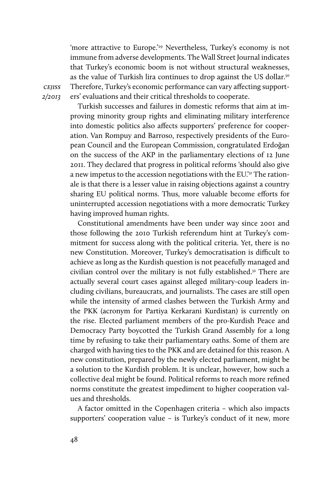'more attractive to Europe.'<sup>29</sup> Nevertheless, Turkey's economy is not immune from adverse developments. The Wall Street Journal indicates that Turkey's economic boom is not without structural weaknesses, as the value of Turkish lira continues to drop against the US dollar.<sup>30</sup> Therefore, Turkey's economic performance can vary affecting supporters' evaluations and their critical thresholds to cooperate.

*cejiss 2/2013*

> Turkish successes and failures in domestic reforms that aim at improving minority group rights and eliminating military interference into domestic politics also affects supporters' preference for cooperation. Van Rompuy and Barroso, respectively presidents of the European Council and the European Commission, congratulated Erdoğan on the success of the AKP in the parliamentary elections of 12 June 2011. They declared that progress in political reforms 'should also give a new impetus to the accession negotiations with the EU.'31 The rationale is that there is a lesser value in raising objections against a country sharing EU political norms. Thus, more valuable become efforts for uninterrupted accession negotiations with a more democratic Turkey having improved human rights.

> Constitutional amendments have been under way since 2001 and those following the 2010 Turkish referendum hint at Turkey's commitment for success along with the political criteria. Yet, there is no new Constitution. Moreover, Turkey's democratisation is difficult to achieve as long as the Kurdish question is not peacefully managed and civilian control over the military is not fully established.<sup>32</sup> There are actually several court cases against alleged military-coup leaders including civilians, bureaucrats, and journalists. The cases are still open while the intensity of armed clashes between the Turkish Army and the PKK (acronym for Partiya Kerkarani Kurdistan) is currently on the rise. Elected parliament members of the pro-Kurdish Peace and Democracy Party boycotted the Turkish Grand Assembly for a long time by refusing to take their parliamentary oaths. Some of them are charged with having ties to the PKK and are detained for this reason. A new constitution, prepared by the newly elected parliament, might be a solution to the Kurdish problem. It is unclear, however, how such a collective deal might be found. Political reforms to reach more refined norms constitute the greatest impediment to higher cooperation values and thresholds.

> A factor omitted in the Copenhagen criteria – which also impacts supporters' cooperation value – is Turkey's conduct of it new, more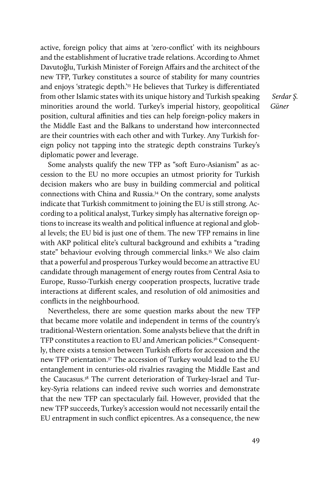active, foreign policy that aims at 'zero-conflict' with its neighbours and the establishment of lucrative trade relations. According to Ahmet Davutoğlu, Turkish Minister of Foreign Affairs and the architect of the new TFP, Turkey constitutes a source of stability for many countries and enjoys 'strategic depth.'33 He believes that Turkey is differentiated from other Islamic states with its unique history and Turkish speaking minorities around the world. Turkey's imperial history, geopolitical position, cultural affinities and ties can help foreign-policy makers in the Middle East and the Balkans to understand how interconnected are their countries with each other and with Turkey. Any Turkish foreign policy not tapping into the strategic depth constrains Turkey's diplomatic power and leverage.

Some analysts qualify the new TFP as "soft Euro-Asianism" as accession to the EU no more occupies an utmost priority for Turkish decision makers who are busy in building commercial and political connections with China and Russia.34 On the contrary, some analysts indicate that Turkish commitment to joining the EU is still strong. According to a political analyst, Turkey simply has alternative foreign options to increase its wealth and political influence at regional and global levels; the EU bid is just one of them. The new TFP remains in line with AKP political elite's cultural background and exhibits a "trading state" behaviour evolving through commercial links.<sup>35</sup> We also claim that a powerful and prosperous Turkey would become an attractive EU candidate through management of energy routes from Central Asia to Europe, Russo-Turkish energy cooperation prospects, lucrative trade interactions at different scales, and resolution of old animosities and conflicts in the neighbourhood.

Nevertheless, there are some question marks about the new TFP that became more volatile and independent in terms of the country's traditional-Western orientation. Some analysts believe that the drift in TFP constitutes a reaction to EU and American policies.<sup>36</sup> Consequently, there exists a tension between Turkish efforts for accession and the new TFP orientation.37 The accession of Turkey would lead to the EU entanglement in centuries-old rivalries ravaging the Middle East and the Caucasus.38 The current deterioration of Turkey-Israel and Turkey-Syria relations can indeed revive such worries and demonstrate that the new TFP can spectacularly fail. However, provided that the new TFP succeeds, Turkey's accession would not necessarily entail the EU entrapment in such conflict epicentres. As a consequence, the new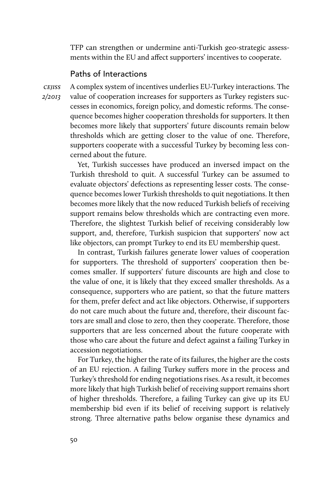TFP can strengthen or undermine anti-Turkish geo-strategic assessments within the EU and affect supporters' incentives to cooperate.

## Paths of Interactions

*cejiss 2/2013* A complex system of incentives underlies EU-Turkey interactions. The value of cooperation increases for supporters as Turkey registers successes in economics, foreign policy, and domestic reforms. The consequence becomes higher cooperation thresholds for supporters. It then becomes more likely that supporters' future discounts remain below thresholds which are getting closer to the value of one. Therefore, supporters cooperate with a successful Turkey by becoming less concerned about the future.

Yet, Turkish successes have produced an inversed impact on the Turkish threshold to quit. A successful Turkey can be assumed to evaluate objectors' defections as representing lesser costs. The consequence becomes lower Turkish thresholds to quit negotiations. It then becomes more likely that the now reduced Turkish beliefs of receiving support remains below thresholds which are contracting even more. Therefore, the slightest Turkish belief of receiving considerably low support, and, therefore, Turkish suspicion that supporters' now act like objectors, can prompt Turkey to end its EU membership quest.

In contrast, Turkish failures generate lower values of cooperation for supporters. The threshold of supporters' cooperation then becomes smaller. If supporters' future discounts are high and close to the value of one, it is likely that they exceed smaller thresholds. As a consequence, supporters who are patient, so that the future matters for them, prefer defect and act like objectors. Otherwise, if supporters do not care much about the future and, therefore, their discount factors are small and close to zero, then they cooperate. Therefore, those supporters that are less concerned about the future cooperate with those who care about the future and defect against a failing Turkey in accession negotiations.

For Turkey, the higher the rate of its failures, the higher are the costs of an EU rejection. A failing Turkey suffers more in the process and Turkey's threshold for ending negotiations rises. As a result, it becomes more likely that high Turkish belief of receiving support remains short of higher thresholds. Therefore, a failing Turkey can give up its EU membership bid even if its belief of receiving support is relatively strong. Three alternative paths below organise these dynamics and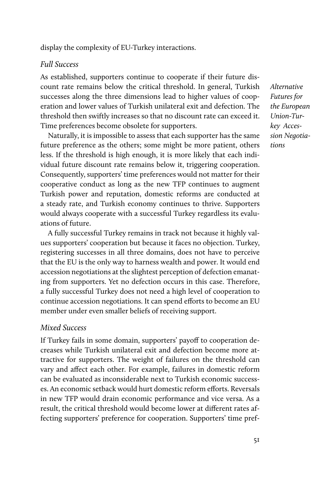display the complexity of EU-Turkey interactions.

## *Full Success*

As established, supporters continue to cooperate if their future discount rate remains below the critical threshold. In general, Turkish successes along the three dimensions lead to higher values of cooperation and lower values of Turkish unilateral exit and defection. The threshold then swiftly increases so that no discount rate can exceed it. Time preferences become obsolete for supporters.

Naturally, it is impossible to assess that each supporter has the same future preference as the others; some might be more patient, others less. If the threshold is high enough, it is more likely that each individual future discount rate remains below it, triggering cooperation. Consequently, supporters' time preferences would not matter for their cooperative conduct as long as the new TFP continues to augment Turkish power and reputation, domestic reforms are conducted at a steady rate, and Turkish economy continues to thrive. Supporters would always cooperate with a successful Turkey regardless its evaluations of future.

A fully successful Turkey remains in track not because it highly values supporters' cooperation but because it faces no objection. Turkey, registering successes in all three domains, does not have to perceive that the EU is the only way to harness wealth and power. It would end accession negotiations at the slightest perception of defection emanating from supporters. Yet no defection occurs in this case. Therefore, a fully successful Turkey does not need a high level of cooperation to continue accession negotiations. It can spend efforts to become an EU member under even smaller beliefs of receiving support.

## *Mixed Success*

If Turkey fails in some domain, supporters' payoff to cooperation decreases while Turkish unilateral exit and defection become more attractive for supporters. The weight of failures on the threshold can vary and affect each other. For example, failures in domestic reform can be evaluated as inconsiderable next to Turkish economic successes. An economic setback would hurt domestic reform efforts. Reversals in new TFP would drain economic performance and vice versa. As a result, the critical threshold would become lower at different rates affecting supporters' preference for cooperation. Supporters' time pref-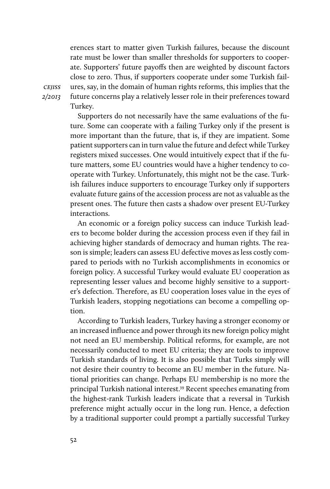erences start to matter given Turkish failures, because the discount rate must be lower than smaller thresholds for supporters to cooperate. Supporters' future payoffs then are weighted by discount factors close to zero. Thus, if supporters cooperate under some Turkish failures, say, in the domain of human rights reforms, this implies that the future concerns play a relatively lesser role in their preferences toward Turkey.

*cejiss 2/2013*

> Supporters do not necessarily have the same evaluations of the future. Some can cooperate with a failing Turkey only if the present is more important than the future, that is, if they are impatient. Some patient supporters can in turn value the future and defect while Turkey registers mixed successes. One would intuitively expect that if the future matters, some EU countries would have a higher tendency to cooperate with Turkey. Unfortunately, this might not be the case. Turkish failures induce supporters to encourage Turkey only if supporters evaluate future gains of the accession process are not as valuable as the present ones. The future then casts a shadow over present EU-Turkey interactions.

> An economic or a foreign policy success can induce Turkish leaders to become bolder during the accession process even if they fail in achieving higher standards of democracy and human rights. The reason is simple; leaders can assess EU defective moves as less costly compared to periods with no Turkish accomplishments in economics or foreign policy. A successful Turkey would evaluate EU cooperation as representing lesser values and become highly sensitive to a supporter's defection. Therefore, as EU cooperation loses value in the eyes of Turkish leaders, stopping negotiations can become a compelling option.

> According to Turkish leaders, Turkey having a stronger economy or an increased influence and power through its new foreign policy might not need an EU membership. Political reforms, for example, are not necessarily conducted to meet EU criteria; they are tools to improve Turkish standards of living. It is also possible that Turks simply will not desire their country to become an EU member in the future. National priorities can change. Perhaps EU membership is no more the principal Turkish national interest.39 Recent speeches emanating from the highest-rank Turkish leaders indicate that a reversal in Turkish preference might actually occur in the long run. Hence, a defection by a traditional supporter could prompt a partially successful Turkey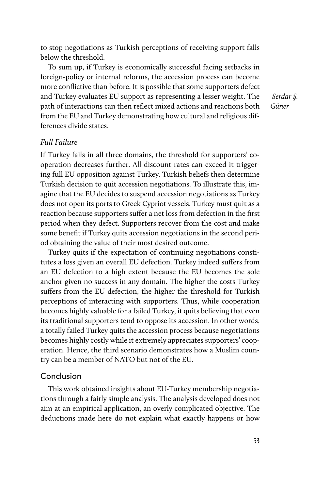to stop negotiations as Turkish perceptions of receiving support falls below the threshold.

To sum up, if Turkey is economically successful facing setbacks in foreign-policy or internal reforms, the accession process can become more conflictive than before. It is possible that some supporters defect and Turkey evaluates EU support as representing a lesser weight. The path of interactions can then reflect mixed actions and reactions both from the EU and Turkey demonstrating how cultural and religious differences divide states.

 *Serdar Ş. Güner*

## *Full Failure*

If Turkey fails in all three domains, the threshold for supporters' cooperation decreases further. All discount rates can exceed it triggering full EU opposition against Turkey. Turkish beliefs then determine Turkish decision to quit accession negotiations. To illustrate this, imagine that the EU decides to suspend accession negotiations as Turkey does not open its ports to Greek Cypriot vessels. Turkey must quit as a reaction because supporters suffer a net loss from defection in the first period when they defect. Supporters recover from the cost and make some benefit if Turkey quits accession negotiations in the second period obtaining the value of their most desired outcome.

Turkey quits if the expectation of continuing negotiations constitutes a loss given an overall EU defection. Turkey indeed suffers from an EU defection to a high extent because the EU becomes the sole anchor given no success in any domain. The higher the costs Turkey suffers from the EU defection, the higher the threshold for Turkish perceptions of interacting with supporters. Thus, while cooperation becomes highly valuable for a failed Turkey, it quits believing that even its traditional supporters tend to oppose its accession. In other words, a totally failed Turkey quits the accession process because negotiations becomes highly costly while it extremely appreciates supporters' cooperation. Hence, the third scenario demonstrates how a Muslim country can be a member of NATO but not of the EU.

#### Conclusion

This work obtained insights about EU-Turkey membership negotiations through a fairly simple analysis. The analysis developed does not aim at an empirical application, an overly complicated objective. The deductions made here do not explain what exactly happens or how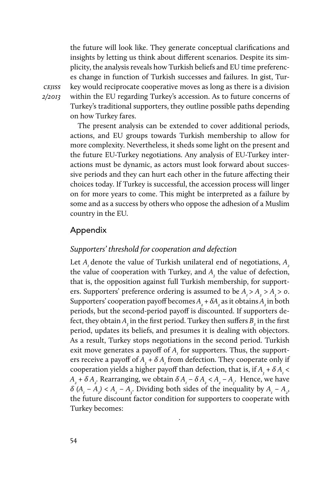the future will look like. They generate conceptual clarifications and insights by letting us think about different scenarios. Despite its simplicity, the analysis reveals how Turkish beliefs and EU time preferences change in function of Turkish successes and failures. In gist, Turkey would reciprocate cooperative moves as long as there is a division within the EU regarding Turkey's accession. As to future concerns of Turkey's traditional supporters, they outline possible paths depending on how Turkey fares.

The present analysis can be extended to cover additional periods, actions, and EU groups towards Turkish membership to allow for more complexity. Nevertheless, it sheds some light on the present and the future EU-Turkey negotiations. Any analysis of EU-Turkey interactions must be dynamic, as actors must look forward about successive periods and they can hurt each other in the future affecting their choices today. If Turkey is successful, the accession process will linger on for more years to come. This might be interpreted as a failure by some and as a success by others who oppose the adhesion of a Muslim country in the EU.

#### Appendix

#### *Supporters' threshold for cooperation and defection*

Let  $A_i$ , denote the value of Turkish unilateral end of negotiations,  $A_i$ the value of cooperation with Turkey, and  $A<sub>j</sub>$  the value of defection, that is, the opposition against full Turkish membership, for supporters. Supporters' preference ordering is assumed to be  $A_1 > A_2 > A_3 > 0$ . Supporters' cooperation payoff becomes  $A_2 + \delta A_2$  as it obtains  $A_2$  in both periods, but the second-period payoff is discounted. If supporters defect, they obtain  $A_{\frac{3}{2}}$  in the first period. Turkey then suffers  $B_{\frac{1}{2}}$  in the first period, updates its beliefs, and presumes it is dealing with objectors. As a result, Turkey stops negotiations in the second period. Turkish exit move generates a payoff of  $A_{\rm r}$  for supporters. Thus, the supporters receive a payoff of  $A_3 + \delta A_1$  from defection. They cooperate only if cooperation yields a higher payoff than defection, that is, if  $A<sub>3</sub> + \delta A<sub>1</sub>$  <  $A_2 + \delta A_2$ . Rearranging, we obtain  $\delta A_1 - \delta A_2 < A_2 - A_3$ . Hence, we have  $\delta$  (*A<sub>1</sub>* − *A<sub>2</sub>*) < *A<sub>2</sub>* − *A<sub>3</sub>*. Dividing both sides of the inequality by *A<sub>1</sub>* − *A<sub>2</sub>*, the future discount factor condition for supporters to cooperate with Turkey becomes:

*.*

*cejiss 2/2013*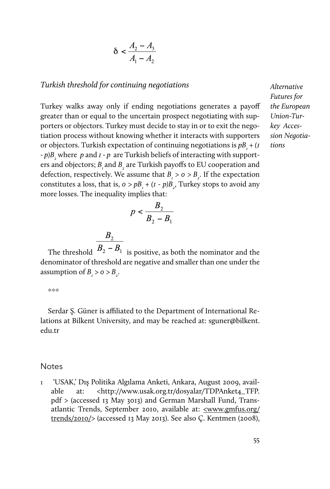$$
\delta < \frac{A_2 - A_3}{A_1 - A_2}
$$

#### *Turkish threshold for continuing negotiations*

Turkey walks away only if ending negotiations generates a payoff greater than or equal to the uncertain prospect negotiating with supporters or objectors. Turkey must decide to stay in or to exit the negotiation process without knowing whether it interacts with supporters or objectors. Turkish expectation of continuing negotiations is  $p B_{I}$  + (*1*) *-*  $p$ ) $B_2$  where  $p$  and  $I$  -  $p$  are Turkish beliefs of interacting with supporters and objectors;  $B_{i}$  and  $B_{i}$  are Turkish payoffs to EU cooperation and defection, respectively. We assume that  $B_i > 0 > B_2$ . If the expectation constitutes a loss, that is,  $o > pB_1 + (I - p)B_2$ , Turkey stops to avoid any more losses. The inequality implies that:

$$
p < \frac{B_2}{B_2 - B_1}
$$

 $\frac{B_2}{B_2-B_1}$  The threshold  $\overline{B_2-B_1}$  is positive, as both the nominator and the denominator of threshold are negative and smaller than one under the assumption of  $B_i > 0 > B_i$ .

\*\*\*

Serdar Ş. Güner is affiliated to the Department of International Relations at Bilkent University, and may be reached at: [sguner@bilkent.](mailto:sguner@bilkent.edu.tr) [edu.tr](mailto:sguner@bilkent.edu.tr)

#### **Notes**

1 'USAK,' Dış Politika Algılama Anketi, Ankara, August 2009, available at: <http://www.usak.org.tr/dosyalar/TDPAnket4\_TFP. pdf > (accessed 13 May 3013) and German Marshall Fund, Trans-atlantic Trends, September 2010, available at: [<www.gmfus.org/](http://www.gmfus.org/trends/2010/) [trends/2010/](http://www.gmfus.org/trends/2010/)> (accessed 13 May 2013). See also Ç. Kentmen (2008),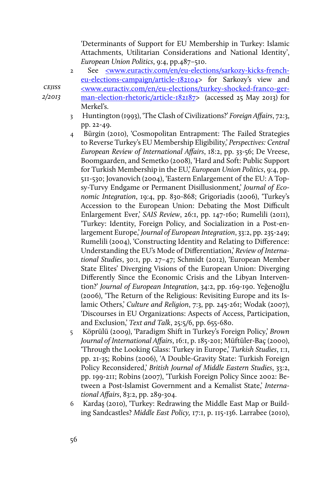'Determinants of Support for EU Membership in Turkey: Islamic Attachments, Utilitarian Considerations and National Identity', *European Union Politics*, 9:4, pp.487–510.

2 See [<www.euractiv.com/en/eu-elections/sarkozy-kicks-french](http://www.euractiv.com/en/eu-elections/sarkozy-kicks-french-eu-elections-campaign/article-182104)[eu-elections-campaign/article-182104>](http://www.euractiv.com/en/eu-elections/sarkozy-kicks-french-eu-elections-campaign/article-182104) for Sarkozy's view and [<www.euractiv.com/en/eu-elections/turkey-shocked-franco-ger](http://www.euractiv.com/en/eu-elections/turkey-shocked-franco-german-election-rhetoric/article-182187)[man-election-rhetoric/article-182187>](http://www.euractiv.com/en/eu-elections/turkey-shocked-franco-german-election-rhetoric/article-182187) (accessed 25 May 2013) for Merkel's.

- 3 Huntington (1993), 'The Clash of Civilizations?' *Foreign Affairs*, 72:3, pp. 22-49.
- 4 Bürgin (2010), 'Cosmopolitan Entrapment: The Failed Strategies to Reverse Turkey's EU Membership Eligibility,' *Perspectives: Central European Review of International Affairs*, 18:2, pp. 33-56; De Vreese, Boomgaarden, and Semetko (2008), 'Hard and Soft: Public Support for Turkish Membership in the EU,' *European Union Politics*, 9:4, pp. 511-530; Jovanovich (2004), 'Eastern Enlargement of the EU: A Topsy-Turvy Endgame or Permanent Disillusionment,' *Journal of Economic Integration*, 19:4, pp. 830-868; Grigoriadis (2006), 'Turkey's Accession to the European Union: Debating the Most Difficult Enlargement Ever,' *SAIS Review*, 26:1, pp. 147-160; Rumelili (2011), 'Turkey: Identity, Foreign Policy, and Socialization in a Post-enlargement Europe,' *Journal of European Integration*, 33:2, pp. 235-249; Rumelili (2004), 'Constructing Identity and Relating to Difference: Understanding the EU's Mode of Differentiation,' *Review of International Studies*, 30:1, pp. 27–47; Schmidt (2012), 'European Member State Elites' Diverging Visions of the European Union: Diverging Differently Since the Economic Crisis and the Libyan Intervention?' *Journal of European Integration*, 34:2, pp. 169-190. Yeğenoğlu (2006), 'The Return of the Religious: Revisiting Europe and its Islamic Others,' *Culture and Religion*, 7:3, pp. 245-261; Wodak (2007), 'Discourses in EU Organizations: Aspects of Access, Participation, and Exclusion,' *Text and Talk*, 25:5/6, pp. 655-680.
- 5 Köprülü (2009), 'Paradigm Shift in Turkey's Foreign Policy,' *Brown Journal of International Affairs*, 16:1, p. 185-201; Müftüler-Baç (2000), 'Through the Looking Glass: Turkey in Europe,' *Turkish Studies*, 1:1, pp. 21-35; Robins (2006), 'A Double-Gravity State: Turkish Foreign Policy Reconsidered,' *British Journal of Middle Eastern Studies*, 33:2, pp. 199-211; Robins (2007), 'Turkish Foreign Policy Since 2002: Between a Post-Islamist Government and a Kemalist State,' *International Affairs*, 83:2, pp. 289-304.
- 6 Kardaş (2010), 'Turkey: Redrawing the Middle East Map or Building Sandcastles? *Middle East Policy,* 17:1, p. 115-136. Larrabee (2010),

*cejiss 2/2013*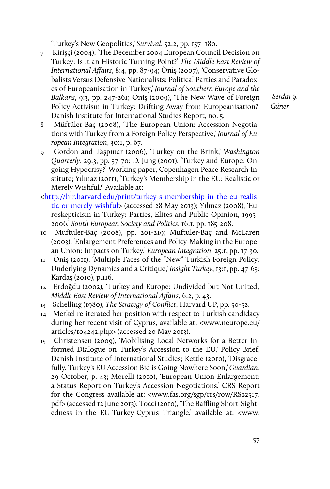'Turkey's New Geopolitics,' *Survival*, 52:2, pp. 157–180.

7 Kirişçi (2004), 'The December 2004 European Council Decision on Turkey: Is It an Historic Turning Point?' *The Middle East Review of International Affairs*, 8:4, pp. 87-94; Öniş (2007), 'Conservative Globalists Versus Defensive Nationalists: Political Parties and Paradoxes of Europeanisation in Turkey,' *Journal of Southern Europe and the Balkans*, 9:3, pp. 247-261; Öniş (2009), 'The New Wave of Foreign Policy Activism in Turkey: Drifting Away from Europeanisation?' Danish Institute for International Studies Report, no. 5.

- 8 Müftüler-Baç (2008), 'The European Union: Accession Negotiations with Turkey from a Foreign Policy Perspective,' *Journal of European Integration*, 30:1, p. 67.
- 9 Gordon and Taşpınar (2006), 'Turkey on the Brink,' *Washington Quarterly*, 29:3, pp. 57-70; D. Jung (2001), 'Turkey and Europe: Ongoing Hypocrisy?' Working paper, Copenhagen Peace Research Institute; Yılmaz (2011), 'Turkey's Membership in the EU: Realistic or Merely Wishful?' Available at:
- [<http://hir.harvard.edu/print/turkey-s-membership-in-the-eu-realis](http://hir.harvard.edu/print/turkey-s-membership-in-the-eu-realistic-or-merely-wishful)[tic-or-merely-wishful>](http://hir.harvard.edu/print/turkey-s-membership-in-the-eu-realistic-or-merely-wishful) (accessed 28 May 2013); Yılmaz (2008), 'Euroskepticism in Turkey: Parties, Elites and Public Opinion, 1995– 2006,' *South European Society and Politics*, 16:1, pp. 185-208.
- 10 Müftüler-Baç (2008), pp. 201-219; Müftüler-Baç and McLaren (2003), 'Enlargement Preferences and Policy-Making in the European Union: Impacts on Turkey,' *European Integration*, 25:1, pp. 17-30*.*
- 11 Öniş (2011), 'Multiple Faces of the "New" Turkish Foreign Policy: Underlying Dynamics and a Critique,' *Insight Turkey*, 13:1, pp. 47-65; Kardaş (2010), p.116.
- 12 Erdoğdu (2002), 'Turkey and Europe: Undivided but Not United,' *Middle East Review of International Affairs*, 6:2, p. 43.
- 13 Schelling (1980), *The Strategy of Conflict*, Harvard UP, pp. 50-52.
- 14 Merkel re-iterated her position with respect to Turkish candidacy during her recent visit of Cyprus, available at: <www.neurope.eu/ articles/104242.php> (accessed 20 May 2013).
- 15 Christensen (2009), 'Mobilising Local Networks for a Better Informed Dialogue on Turkey's Accession to the EU,' Policy Brief, Danish Institute of International Studies; Kettle (2010), 'Disgracefully, Turkey's EU Accession Bid is Going Nowhere Soon,' *Guardian*, 29 October, p. 43; Morelli (2010), 'European Union Enlargement: a Status Report on Turkey's Accession Negotiations,' CRS Report for the Congress available at: [<www.fas.org/sgp/crs/row/RS22517.](http://www.fas.org/sgp/crs/row/RS22517.pdf) [pdf](http://www.fas.org/sgp/crs/row/RS22517.pdf)> (accessed 12 June 2013); Tocci (2010), 'The Baffling Short-Sightedness in the EU-Turkey-Cyprus Triangle,' available at: <www.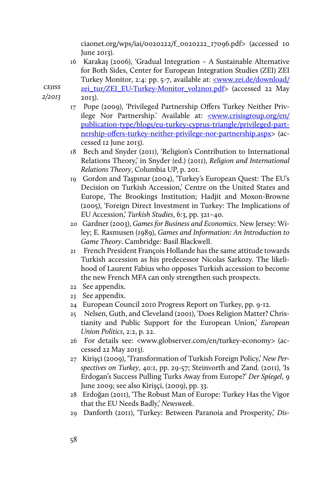ciaonet.org/wps/iai/0020222/f\_0020222\_17096.pdf> (accessed 10 June 2013).

16 Karakaş (2006), 'Gradual Integration – A Sustainable Alternative for Both Sides, Center for European Integration Studies (ZEI) ZEI Turkey Monitor, 2:4: pp. 5-7, available at: <u>[<www.zei.de/download/](http://www.zei.de/download/zei_tur/ZEI_EU-Turkey-Monitor_vol2no1.pdf)</u> [zei\\_tur/ZEI\\_EU-Turkey-Monitor\\_vol2no1.pdf>](http://www.zei.de/download/zei_tur/ZEI_EU-Turkey-Monitor_vol2no1.pdf) (accessed 22 May

*cejiss 2/2013*

2013).

- 17 Pope (2009), 'Privileged Partnership Offers Turkey Neither Privilege Nor Partnership.' Available at: [<www.crisisgroup.org/en/](http://www.crisisgroup.org/en/publication-type/blogs/eu-turkey-cyprus-triangle/privileged-partnership-offers-turkey-neither-privilege-nor-partnership.aspx) [publication-type/blogs/eu-turkey-cyprus-triangle/privileged-part](http://www.crisisgroup.org/en/publication-type/blogs/eu-turkey-cyprus-triangle/privileged-partnership-offers-turkey-neither-privilege-nor-partnership.aspx)[nership-offers-turkey-neither-privilege-nor-partnership.aspx](http://www.crisisgroup.org/en/publication-type/blogs/eu-turkey-cyprus-triangle/privileged-partnership-offers-turkey-neither-privilege-nor-partnership.aspx)> (accessed 12 June 2013).
- 18 Bech and Snyder (2011), 'Religion's Contribution to International Relations Theory,' in Snyder (ed.) (2011), *Religion and International Relations Theory*, Columbia UP, p. 201.
- 19 Gordon and Taşpınar (2004), 'Turkey's European Quest: The EU's Decision on Turkish Accession,' Centre on the United States and Europe, The Brookings Institution; Hadjit and Moxon-Browne (2005), 'Foreign Direct Investment in Turkey: The Implications of EU Accession,' *Turkish Studies*, 6:3, pp. 321–40.
- 20 Gardner (2003), *Games for Business and Economics*. New Jersey: Wiley; E. Rasmusen (1989), *Games and Information: An Introduction to Game Theory*. Cambridge: Basil Blackwell.
- 21 French President François Hollande has the same attitude towards Turkish accession as his predecessor Nicolas Sarkozy. The likelihood of Laurent Fabius who opposes Turkish accession to become the new French MFA can only strengthen such prospects.
- 22 See appendix.
- 23 See appendix.
- 24 European Council 2010 Progress Report on Turkey, pp. 9-12.
- 25 Nelsen, Guth, and Cleveland (2001), 'Does Religion Matter? Christianity and Public Support for the European Union,' *European Union Politics*, 2:2, p. 22.
- 26 For details see: <www.globserver.com/en/turkey-economy> (accessed 22 May 2013).
- 27 Kirişçi (2009), 'Transformation of Turkish Foreign Policy,' *New Perspectives on Turkey*, 40:1, pp. 29-57; Steinvorth and Zand. (2011), 'Is Erdogan's Success Pulling Turks Away from Europe?' *Der Spiegel*, 9 June 2009; see also Kirişçi, (2009), pp. 33.
- 28 Erdoğan (2011), 'The Robust Man of Europe: Turkey Has the Vigor that the EU Needs Badly,' *Newsweek*.
- 29 Danforth (2011), 'Turkey: Between Paranoia and Prosperity,' *Dis-*